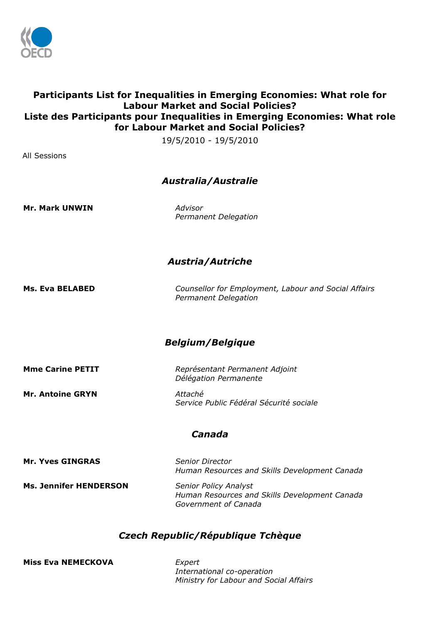

# **Participants List for Inequalities in Emerging Economies: What role for Labour Market and Social Policies? Liste des Participants pour Inequalities in Emerging Economies: What role for Labour Market and Social Policies?**

19/5/2010 - 19/5/2010

All Sessions

# *Australia/Australie*

**Mr. Mark UNWIN** *Advisor* 

*Permanent Delegation*

# *Austria/Autriche*

**Ms. Eva BELABED** *Counsellor for Employment, Labour and Social Affairs Permanent Delegation*

# *Belgium/Belgique*

**Mme Carine PETIT** *Représentant Permanent Adjoint*

**Mr. Antoine GRYN** *Attaché*

*Délégation Permanente*

*Service Public Fédéral Sécurité sociale*

# *Canada*

**Mr. Yves GINGRAS** *Senior Director Human Resources and Skills Development Canada* **Ms. Jennifer HENDERSON** *Senior Policy Analyst Human Resources and Skills Development Canada Government of Canada*

# *Czech Republic/République Tchèque*

**Miss Eva NEMECKOVA** *Expert*

*International co-operation Ministry for Labour and Social Affairs*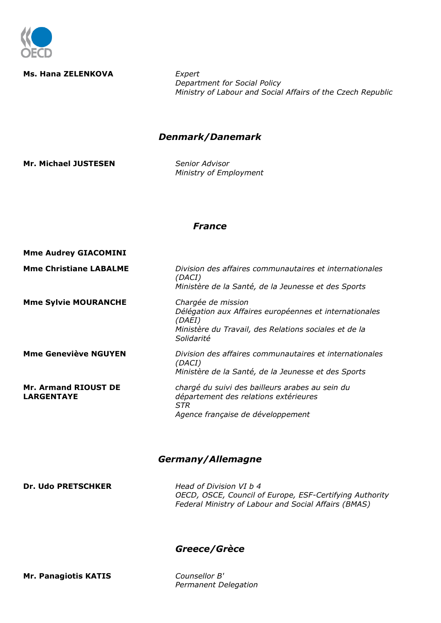

#### **Ms. Hana ZELENKOVA** *Expert*

*Department for Social Policy Ministry of Labour and Social Affairs of the Czech Republic*

## *Denmark/Danemark*

**Mr. Michael JUSTESEN** *Senior Advisor*

*Ministry of Employment*

#### *France*

| <b>Mme Audrey GIACOMINI</b>                      |                                                                                                                                                               |
|--------------------------------------------------|---------------------------------------------------------------------------------------------------------------------------------------------------------------|
| <b>Mme Christiane LABALME</b>                    | Division des affaires communautaires et internationales<br>(DACI)<br>Ministère de la Santé, de la Jeunesse et des Sports                                      |
| <b>Mme Sylvie MOURANCHE</b>                      | Chargée de mission<br>Délégation aux Affaires européennes et internationales<br>(DAEI)<br>Ministère du Travail, des Relations sociales et de la<br>Solidarité |
| <b>Mme Geneviève NGUYEN</b>                      | Division des affaires communautaires et internationales<br>(DACI)<br>Ministère de la Santé, de la Jeunesse et des Sports                                      |
| <b>Mr. Armand RIOUST DE</b><br><b>LARGENTAYE</b> | chargé du suivi des bailleurs arabes au sein du<br>département des relations extérieures<br>STR<br>Agence française de développement                          |

#### *Germany/Allemagne*

**Dr. Udo PRETSCHKER** *Head of Division VI b 4*

*OECD, OSCE, Council of Europe, ESF-Certifying Authority Federal Ministry of Labour and Social Affairs (BMAS)*

#### *Greece/Grèce*

**Mr. Panagiotis KATIS** *Counsellor B'* 

*Permanent Delegation*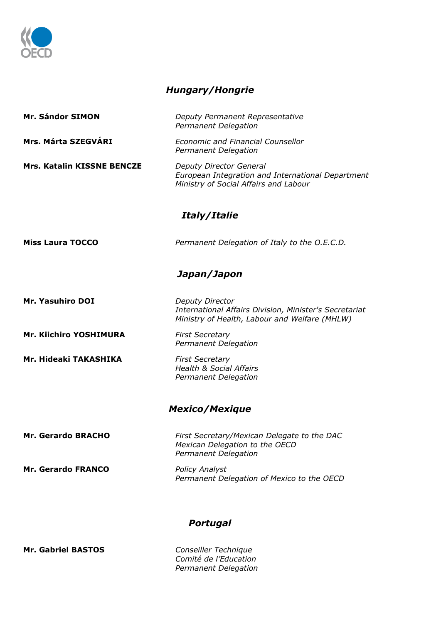

# *Hungary/Hongrie*

| Deputy Permanent Representative<br>Permanent Delegation                                                                    |  |  |
|----------------------------------------------------------------------------------------------------------------------------|--|--|
| <b>Economic and Financial Counsellor</b><br>Permanent Delegation                                                           |  |  |
| Deputy Director General<br>European Integration and International Department<br>Ministry of Social Affairs and Labour      |  |  |
| Italy/Italie                                                                                                               |  |  |
| Permanent Delegation of Italy to the O.E.C.D.                                                                              |  |  |
| Japan/Japon                                                                                                                |  |  |
| Deputy Director<br>International Affairs Division, Minister's Secretariat<br>Ministry of Health, Labour and Welfare (MHLW) |  |  |
| <b>First Secretary</b><br>Permanent Delegation                                                                             |  |  |
| <b>First Secretary</b><br><b>Health &amp; Social Affairs</b><br>Permanent Delegation                                       |  |  |
| <b>Mexico/Mexique</b>                                                                                                      |  |  |
| First Secretary/Mexican Delegate to the DAC<br>Mexican Delegation to the OECD<br>Permanent Delegation                      |  |  |
| <b>Policy Analyst</b><br>Permanent Delegation of Mexico to the OECD                                                        |  |  |
| <b>Portugal</b>                                                                                                            |  |  |
|                                                                                                                            |  |  |

**Mr. Gabriel BASTOS** 

*Comité de l'Education Permanent Delegation*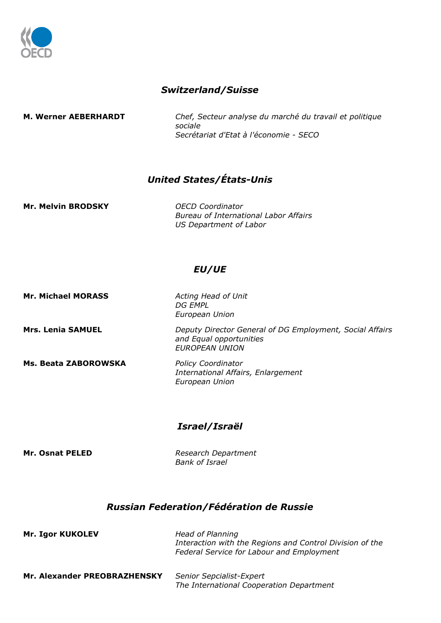

# *Switzerland/Suisse*

**M. Werner AEBERHARDT** *Chef, Secteur analyse du marché du travail et politique sociale Secrétariat d'Etat à l'économie - SECO*

# *United States/États-Unis*

**Mr. Melvin BRODSKY** *OECD Coordinator*

*Bureau of International Labor Affairs US Department of Labor*

### *EU/UE*

*European Union*

*DG EMPL*

**Mr. Michael MORASS** *Acting Head of Unit*

**Ms. Beata ZABOROWSKA** *Policy Coordinator* 

**Mrs. Lenia SAMUEL** *Deputy Director General of DG Employment, Social Affairs and Equal opportunities EUROPEAN UNION*

> *International Affairs, Enlargement European Union*

### *Israel/Israël*

**Mr. Osnat PELED** *Research Department Bank of Israel*

### *Russian Federation/Fédération de Russie*

| <b>Mr. Igor KUKOLEV</b>      | Head of Planning<br>Interaction with the Regions and Control Division of the<br>Federal Service for Labour and Employment |  |
|------------------------------|---------------------------------------------------------------------------------------------------------------------------|--|
| Mr. Alexander PREOBRAZHENSKY | Senior Sepcialist-Expert<br>The International Cooperation Department                                                      |  |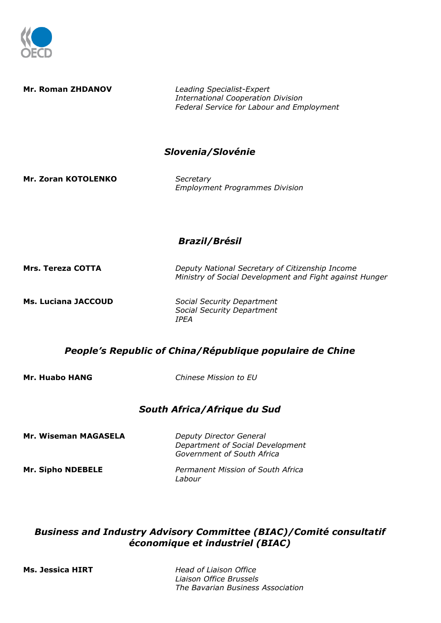

**Mr. Roman ZHDANOV** *Leading Specialist-Expert International Cooperation Division Federal Service for Labour and Employment Slovenia/Slovénie* **Mr. Zoran KOTOLENKO** *Secretary Employment Programmes Division Brazil/Brésil* **Mrs. Tereza COTTA** *Deputy National Secretary of Citizenship Income Ministry of Social Development and Fight against Hunger* **Ms. Luciana JACCOUD** *Social Security Department Social Security Department IPEA People's Republic of China/République populaire de Chine* **Mr. Huabo HANG** *Chinese Mission to EU South Africa/Afrique du Sud* **Mr. Wiseman MAGASELA** *Deputy Director General Department of Social Development Government of South Africa*

# *Business and Industry Advisory Committee (BIAC)/Comité consultatif économique et industriel (BIAC)*

**Mr. Sipho NDEBELE** *Permanent Mission of South Africa*

*Labour*

**Ms. Jessica HIRT** *Head of Liaison Office Liaison Office Brussels The Bavarian Business Association*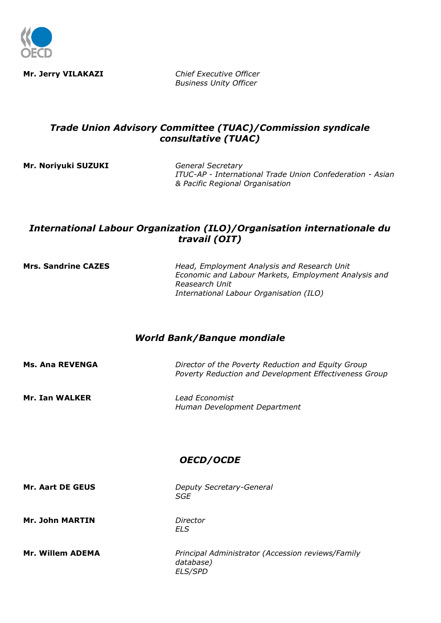

**Mr. Jerry VILAKAZI** *Chief Executive Officer Business Unity Officer*

# *Trade Union Advisory Committee (TUAC)/Commission syndicale consultative (TUAC)*

**Mr. Noriyuki SUZUKI** *General Secretary*

*ITUC-AP - International Trade Union Confederation - Asian & Pacific Regional Organisation*

# *International Labour Organization (ILO)/Organisation internationale du travail (OIT)*

**Mrs. Sandrine CAZES** *Head, Employment Analysis and Research Unit Economic and Labour Markets, Employment Analysis and Reasearch Unit International Labour Organisation (ILO)*

# *World Bank/Banque mondiale*

| Lead Economist<br>Human Development Department |
|------------------------------------------------|
| OECD/OCDE                                      |
| Deputy Secretary-General<br>SGE                |
| Director<br><b>ELS</b>                         |
|                                                |

**Mr. Willem ADEMA** *Principal Administrator (Accession reviews/Family database) ELS/SPD*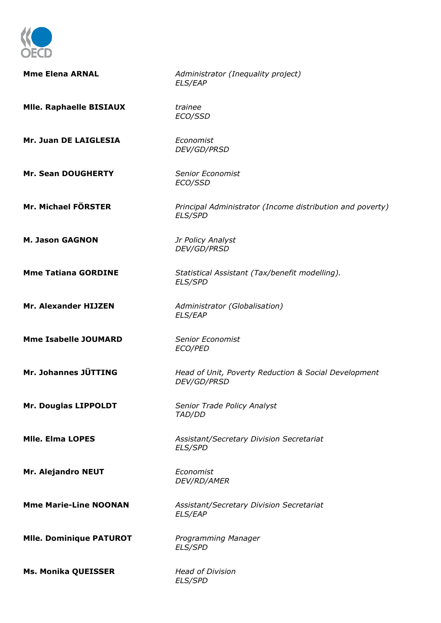

| <b>Mme Elena ARNAL</b>         | Administrator (Inequality project)<br><b>ELS/EAP</b>                        |
|--------------------------------|-----------------------------------------------------------------------------|
| <b>Mile. Raphaelle BISIAUX</b> | trainee<br>ECO/SSD                                                          |
| Mr. Juan DE LAIGLESIA          | Economist<br>DEV/GD/PRSD                                                    |
| <b>Mr. Sean DOUGHERTY</b>      | <b>Senior Economist</b><br>ECO/SSD                                          |
| Mr. Michael FÖRSTER            | Principal Administrator (Income distribution and poverty)<br><b>ELS/SPD</b> |
| <b>M. Jason GAGNON</b>         | Jr Policy Analyst<br>DEV/GD/PRSD                                            |
| <b>Mme Tatiana GORDINE</b>     | Statistical Assistant (Tax/benefit modelling).<br><b>ELS/SPD</b>            |
| <b>Mr. Alexander HIJZEN</b>    | Administrator (Globalisation)<br><b>ELS/EAP</b>                             |
| <b>Mme Isabelle JOUMARD</b>    | <b>Senior Economist</b><br>ECO/PED                                          |
| Mr. Johannes JÜTTING           | Head of Unit, Poverty Reduction & Social Development<br>DEV/GD/PRSD         |
| Mr. Douglas LIPPOLDT           | Senior Trade Policy Analyst<br>TAD/DD                                       |
| <b>MIIe. Elma LOPES</b>        | Assistant/Secretary Division Secretariat<br><b>ELS/SPD</b>                  |
| Mr. Alejandro NEUT             | Economist<br>DEV/RD/AMER                                                    |
| <b>Mme Marie-Line NOONAN</b>   | Assistant/Secretary Division Secretariat<br><b>ELS/EAP</b>                  |
| <b>Mile. Dominique PATUROT</b> | Programming Manager<br><b>ELS/SPD</b>                                       |
| <b>Ms. Monika QUEISSER</b>     | <b>Head of Division</b><br><b>ELS/SPD</b>                                   |